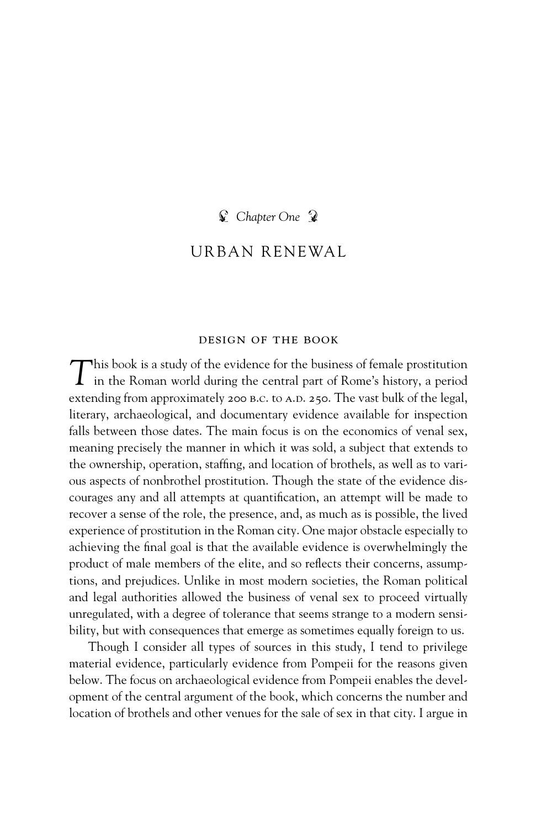# $\mathcal{C}$  Chapter One  $\mathcal{D}$

## URBAN RENEWAL

#### design of the book

This book is a study of the evidence for the business of female prostitution in the Roman world during the central part of Rome's history, a period extending from approximately 200 B.C. to A.D. 250. The vast bulk of the legal, literary, archaeological, and documentary evidence available for inspection falls between those dates. The main focus is on the economics of venal sex, meaning precisely the manner in which it was sold, a subject that extends to the ownership, operation, staffing, and location of brothels, as well as to various aspects of nonbrothel prostitution. Though the state of the evidence discourages any and all attempts at quantification, an attempt will be made to recover a sense of the role, the presence, and, as much as is possible, the lived experience of prostitution in the Roman city. One major obstacle especially to achieving the final goal is that the available evidence is overwhelmingly the product of male members of the elite, and so reflects their concerns, assumptions, and prejudices. Unlike in most modern societies, the Roman political and legal authorities allowed the business of venal sex to proceed virtually unregulated, with a degree of tolerance that seems strange to a modern sensibility, but with consequences that emerge as sometimes equally foreign to us.

Though I consider all types of sources in this study, I tend to privilege material evidence, particularly evidence from Pompeii for the reasons given below. The focus on archaeological evidence from Pompeii enables the development of the central argument of the book, which concerns the number and location of brothels and other venues for the sale of sex in that city. I argue in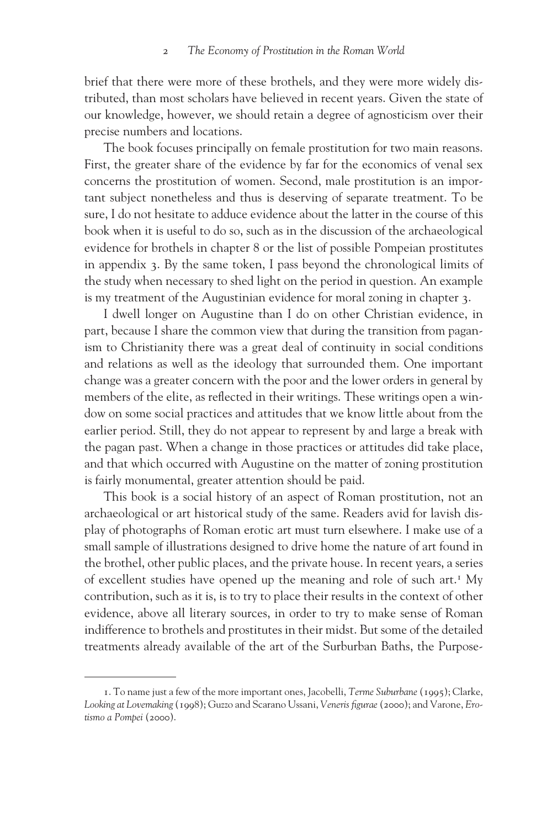brief that there were more of these brothels, and they were more widely distributed, than most scholars have believed in recent years. Given the state of our knowledge, however, we should retain a degree of agnosticism over their precise numbers and locations.

The book focuses principally on female prostitution for two main reasons. First, the greater share of the evidence by far for the economics of venal sex concerns the prostitution of women. Second, male prostitution is an important subject nonetheless and thus is deserving of separate treatment. To be sure, I do not hesitate to adduce evidence about the latter in the course of this book when it is useful to do so, such as in the discussion of the archaeological evidence for brothels in chapter 8 or the list of possible Pompeian prostitutes in appendix 3. By the same token, I pass beyond the chronological limits of the study when necessary to shed light on the period in question. An example is my treatment of the Augustinian evidence for moral zoning in chapter 3.

I dwell longer on Augustine than I do on other Christian evidence, in part, because I share the common view that during the transition from paganism to Christianity there was a great deal of continuity in social conditions and relations as well as the ideology that surrounded them. One important change was a greater concern with the poor and the lower orders in general by members of the elite, as reflected in their writings. These writings open a window on some social practices and attitudes that we know little about from the earlier period. Still, they do not appear to represent by and large a break with the pagan past. When a change in those practices or attitudes did take place, and that which occurred with Augustine on the matter of zoning prostitution is fairly monumental, greater attention should be paid.

This book is a social history of an aspect of Roman prostitution, not an archaeological or art historical study of the same. Readers avid for lavish display of photographs of Roman erotic art must turn elsewhere. I make use of a small sample of illustrations designed to drive home the nature of art found in the brothel, other public places, and the private house. In recent years, a series of excellent studies have opened up the meaning and role of such art.<sup>1</sup> My contribution, such as it is, is to try to place their results in the context of other evidence, above all literary sources, in order to try to make sense of Roman indifference to brothels and prostitutes in their midst. But some of the detailed treatments already available of the art of the Surburban Baths, the Purpose-

<sup>1.</sup> To name just a few of the more important ones, Jacobelli, *Terme Suburbane* (1995); Clarke, Looking at Lovemaking (1998); Guzzo and Scarano Ussani, *Veneris figurae* (2000); and Varone, *Erotismo a Pompei* (2000).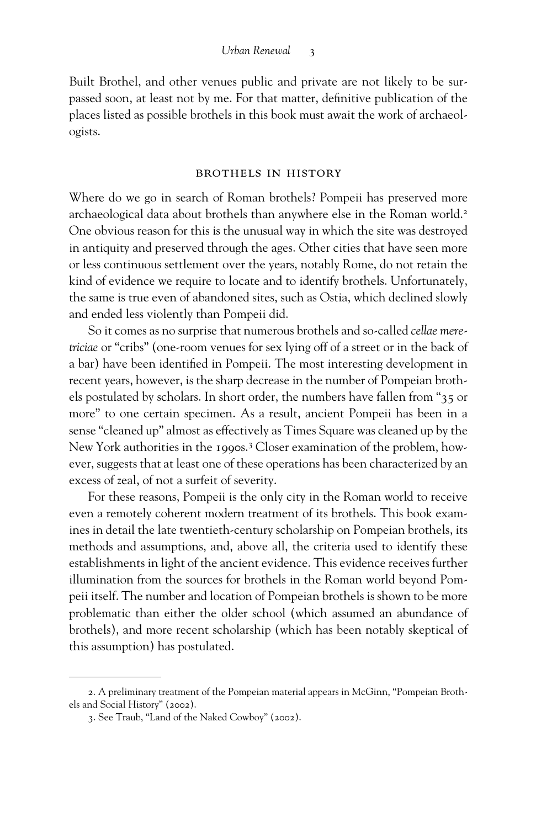Built Brothel, and other venues public and private are not likely to be surpassed soon, at least not by me. For that matter, definitive publication of the places listed as possible brothels in this book must await the work of archaeologists.

#### brothels in history

Where do we go in search of Roman brothels? Pompeii has preserved more archaeological data about brothels than anywhere else in the Roman world.<sup>2</sup> One obvious reason for this is the unusual way in which the site was destroyed in antiquity and preserved through the ages. Other cities that have seen more or less continuous settlement over the years, notably Rome, do not retain the kind of evidence we require to locate and to identify brothels. Unfortunately, the same is true even of abandoned sites, such as Ostia, which declined slowly and ended less violently than Pompeii did.

So it comes as no surprise that numerous brothels and so-called *cellae meretriciae* or "cribs" (one-room venues for sex lying off of a street or in the back of a bar) have been identified in Pompeii. The most interesting development in recent years, however, is the sharp decrease in the number of Pompeian brothels postulated by scholars. In short order, the numbers have fallen from "35 or more" to one certain specimen. As a result, ancient Pompeii has been in a sense "cleaned up" almost as effectively as Times Square was cleaned up by the New York authorities in the 1990s.3 Closer examination of the problem, however, suggests that at least one of these operations has been characterized by an excess of zeal, of not a surfeit of severity.

For these reasons, Pompeii is the only city in the Roman world to receive even a remotely coherent modern treatment of its brothels. This book examines in detail the late twentieth-century scholarship on Pompeian brothels, its methods and assumptions, and, above all, the criteria used to identify these establishments in light of the ancient evidence. This evidence receives further illumination from the sources for brothels in the Roman world beyond Pompeii itself. The number and location of Pompeian brothels is shown to be more problematic than either the older school (which assumed an abundance of brothels), and more recent scholarship (which has been notably skeptical of this assumption) has postulated.

<sup>2.</sup> A preliminary treatment of the Pompeian material appears in McGinn, "Pompeian Brothels and Social History" (2002).

<sup>3.</sup> See Traub, "Land of the Naked Cowboy" (2002).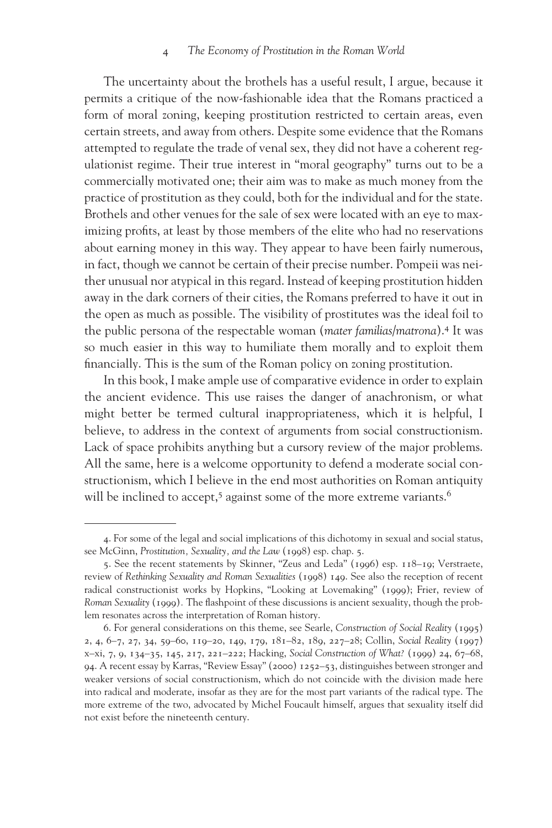The uncertainty about the brothels has a useful result, I argue, because it permits a critique of the now-fashionable idea that the Romans practiced a form of moral zoning, keeping prostitution restricted to certain areas, even certain streets, and away from others. Despite some evidence that the Romans attempted to regulate the trade of venal sex, they did not have a coherent regulationist regime. Their true interest in "moral geography" turns out to be a commercially motivated one; their aim was to make as much money from the practice of prostitution as they could, both for the individual and for the state. Brothels and other venues for the sale of sex were located with an eye to maximizing profits, at least by those members of the elite who had no reservations about earning money in this way. They appear to have been fairly numerous, in fact, though we cannot be certain of their precise number. Pompeii was neither unusual nor atypical in this regard. Instead of keeping prostitution hidden away in the dark corners of their cities, the Romans preferred to have it out in the open as much as possible. The visibility of prostitutes was the ideal foil to the public persona of the respectable woman (*mater familias*/*matrona*).4 It was so much easier in this way to humiliate them morally and to exploit them financially. This is the sum of the Roman policy on zoning prostitution.

In this book, I make ample use of comparative evidence in order to explain the ancient evidence. This use raises the danger of anachronism, or what might better be termed cultural inappropriateness, which it is helpful, I believe, to address in the context of arguments from social constructionism. Lack of space prohibits anything but a cursory review of the major problems. All the same, here is a welcome opportunity to defend a moderate social constructionism, which I believe in the end most authorities on Roman antiquity will be inclined to accept,<sup>5</sup> against some of the more extreme variants.<sup>6</sup>

<sup>4.</sup> For some of the legal and social implications of this dichotomy in sexual and social status, see McGinn, *Prostitution, Sexuality, and the Law* (1998) esp. chap. 5.

<sup>5.</sup> See the recent statements by Skinner, "Zeus and Leda" (1996) esp. 118–19; Verstraete, review of *Rethinking Sexuality and Roman Sexualities* (1998) 149. See also the reception of recent radical constructionist works by Hopkins, "Looking at Lovemaking" (1999); Frier, review of *Roman Sexuality* (1999). The flashpoint of these discussions is ancient sexuality, though the problem resonates across the interpretation of Roman history.

<sup>6.</sup> For general considerations on this theme, see Searle, *Construction of Social Reality* (1995) 2, 4, 6–7, 27, 34, 59–60, 119–20, 149, 179, 181–82, 189, 227–28; Collin, *Social Reality* (1997) x–xi, 7, 9, 134–35, 145, 217, 221–222; Hacking, *Social Construction of What?* (1999) 24, 67–68, 94. A recent essay by Karras, "Review Essay" (2000) 1252–53, distinguishes between stronger and weaker versions of social constructionism, which do not coincide with the division made here into radical and moderate, insofar as they are for the most part variants of the radical type. The more extreme of the two, advocated by Michel Foucault himself, argues that sexuality itself did not exist before the nineteenth century.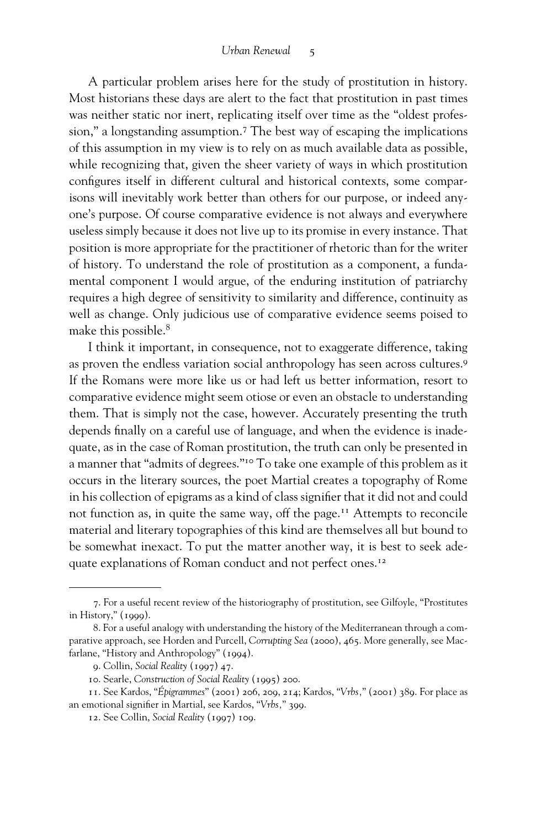A particular problem arises here for the study of prostitution in history. Most historians these days are alert to the fact that prostitution in past times was neither static nor inert, replicating itself over time as the "oldest profession," a longstanding assumption.7 The best way of escaping the implications of this assumption in my view is to rely on as much available data as possible, while recognizing that, given the sheer variety of ways in which prostitution configures itself in different cultural and historical contexts, some comparisons will inevitably work better than others for our purpose, or indeed anyone's purpose. Of course comparative evidence is not always and everywhere useless simply because it does not live up to its promise in every instance. That position is more appropriate for the practitioner of rhetoric than for the writer of history. To understand the role of prostitution as a component, a fundamental component I would argue, of the enduring institution of patriarchy requires a high degree of sensitivity to similarity and difference, continuity as well as change. Only judicious use of comparative evidence seems poised to make this possible.<sup>8</sup>

I think it important, in consequence, not to exaggerate difference, taking as proven the endless variation social anthropology has seen across cultures.9 If the Romans were more like us or had left us better information, resort to comparative evidence might seem otiose or even an obstacle to understanding them. That is simply not the case, however. Accurately presenting the truth depends finally on a careful use of language, and when the evidence is inadequate, as in the case of Roman prostitution, the truth can only be presented in a manner that "admits of degrees."10 To take one example of this problem as it occurs in the literary sources, the poet Martial creates a topography of Rome in his collection of epigrams as a kind of class signifier that it did not and could not function as, in quite the same way, off the page.<sup>11</sup> Attempts to reconcile material and literary topographies of this kind are themselves all but bound to be somewhat inexact. To put the matter another way, it is best to seek adequate explanations of Roman conduct and not perfect ones.<sup>12</sup>

<sup>7.</sup> For a useful recent review of the historiography of prostitution, see Gilfoyle, "Prostitutes in History," (1999).

<sup>8.</sup> For a useful analogy with understanding the history of the Mediterranean through a comparative approach, see Horden and Purcell, *Corrupting Sea* (2000), 465. More generally, see Macfarlane, "History and Anthropology" (1994).

<sup>9.</sup> Collin, *Social Reality* (1997) 47.

<sup>10.</sup> Searle, *Construction of Social Reality* (1995) 200.

<sup>11.</sup> See Kardos, "*Épigrammes*" (2001) 206, 209, 214; Kardos, "*Vrbs,*" (2001) 389. For place as an emotional signifier in Martial, see Kardos, "Vrbs," 399.

<sup>12.</sup> See Collin, *Social Reality* (1997) 109.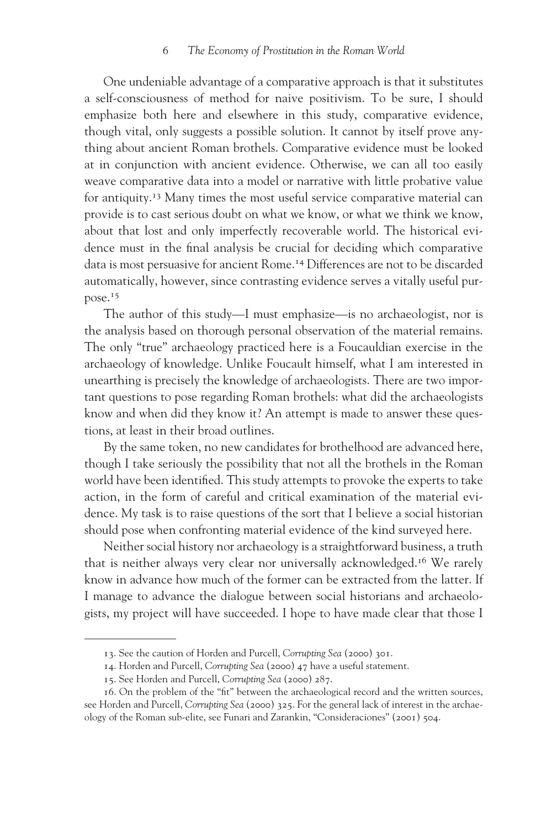One undeniable advantage of a comparative approach is that it substitutes a self-consciousness of method for naive positivism. To be sure, I should emphasize both here and elsewhere in this study, comparative evidence, though vital, only suggests a possible solution. It cannot by itself prove anything about ancient Roman brothels. Comparative evidence must be looked at in conjunction with ancient evidence. Otherwise, we can all too easily weave comparative data into a model or narrative with little probative value for antiquity.<sup>13</sup> Many times the most useful service comparative material can provide is to cast serious doubt on what we know, or what we think we know, about that lost and only imperfectly recoverable world. The historical evidence must in the final analysis be crucial for deciding which comparative data is most persuasive for ancient Rome.14 Differences are not to be discarded automatically, however, since contrasting evidence serves a vitally useful purpose.15

The author of this study—I must emphasize—is no archaeologist, nor is the analysis based on thorough personal observation of the material remains. The only "true" archaeology practiced here is a Foucauldian exercise in the archaeology of knowledge. Unlike Foucault himself, what I am interested in unearthing is precisely the knowledge of archaeologists. There are two important questions to pose regarding Roman brothels: what did the archaeologists know and when did they know it? An attempt is made to answer these questions, at least in their broad outlines.

By the same token, no new candidates for brothelhood are advanced here, though I take seriously the possibility that not all the brothels in the Roman world have been identified. This study attempts to provoke the experts to take action, in the form of careful and critical examination of the material evidence. My task is to raise questions of the sort that I believe a social historian should pose when confronting material evidence of the kind surveyed here.

Neither social history nor archaeology is a straightforward business, a truth that is neither always very clear nor universally acknowledged.16 We rarely know in advance how much of the former can be extracted from the latter. If I manage to advance the dialogue between social historians and archaeologists, my project will have succeeded. I hope to have made clear that those I

<sup>13.</sup> See the caution of Horden and Purcell, *Corrupting Sea* (2000) 301.

<sup>14.</sup> Horden and Purcell, *Corrupting Sea* (2000) 47 have a useful statement.

<sup>15.</sup> See Horden and Purcell, *Corrupting Sea* (2000) 287.

<sup>16.</sup> On the problem of the "fit" between the archaeological record and the written sources, see Horden and Purcell, *Corrupting Sea* (2000) 325. For the general lack of interest in the archaeology of the Roman sub-elite, see Funari and Zarankin, "Consideraciones" (2001) 504.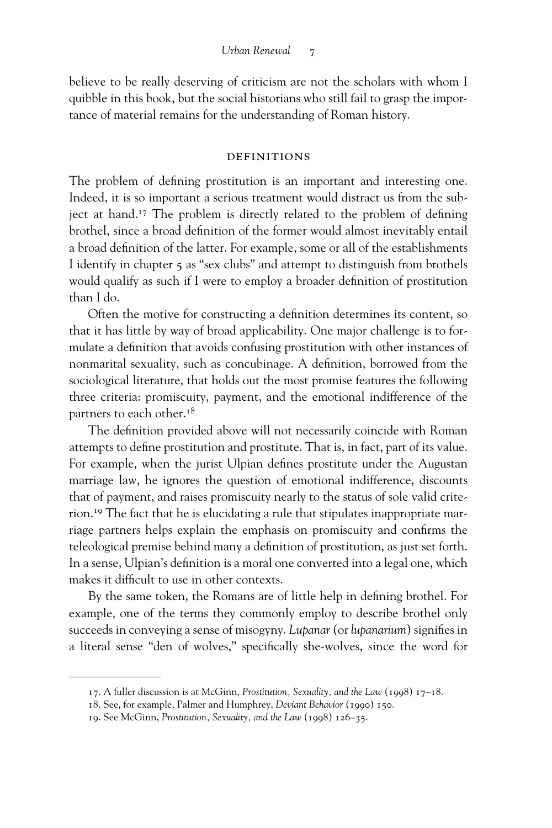believe to be really deserving of criticism are not the scholars with whom I quibble in this book, but the social historians who still fail to grasp the importance of material remains for the understanding of Roman history.

#### **DEFINITIONS**

The problem of defining prostitution is an important and interesting one. Indeed, it is so important a serious treatment would distract us from the subject at hand.<sup>17</sup> The problem is directly related to the problem of defining brothel, since a broad definition of the former would almost inevitably entail a broad definition of the latter. For example, some or all of the establishments I identify in chapter 5 as "sex clubs" and attempt to distinguish from brothels would qualify as such if I were to employ a broader definition of prostitution than I do.

Often the motive for constructing a definition determines its content, so that it has little by way of broad applicability. One major challenge is to formulate a definition that avoids confusing prostitution with other instances of nonmarital sexuality, such as concubinage. A definition, borrowed from the sociological literature, that holds out the most promise features the following three criteria: promiscuity, payment, and the emotional indifference of the partners to each other.<sup>18</sup>

The definition provided above will not necessarily coincide with Roman attempts to define prostitution and prostitute. That is, in fact, part of its value. For example, when the jurist Ulpian defines prostitute under the Augustan marriage law, he ignores the question of emotional indifference, discounts that of payment, and raises promiscuity nearly to the status of sole valid criterion.19 The fact that he is elucidating a rule that stipulates inappropriate marriage partners helps explain the emphasis on promiscuity and confirms the teleological premise behind many a definition of prostitution, as just set forth. In a sense, Ulpian's definition is a moral one converted into a legal one, which makes it difficult to use in other contexts.

By the same token, the Romans are of little help in defining brothel. For example, one of the terms they commonly employ to describe brothel only succeeds in conveying a sense of misogyny. *Lupanar* (or *lupanarium*) signifies in a literal sense "den of wolves," specifically she-wolves, since the word for

<sup>17.</sup> A fuller discussion is at McGinn, *Prostitution, Sexuality, and the Law* (1998) 17–18.

<sup>18.</sup> See, for example, Palmer and Humphrey, *Deviant Behavior* (1990) 150.

<sup>19.</sup> See McGinn, *Prostitution, Sexuality, and the Law* (1998) 126–35.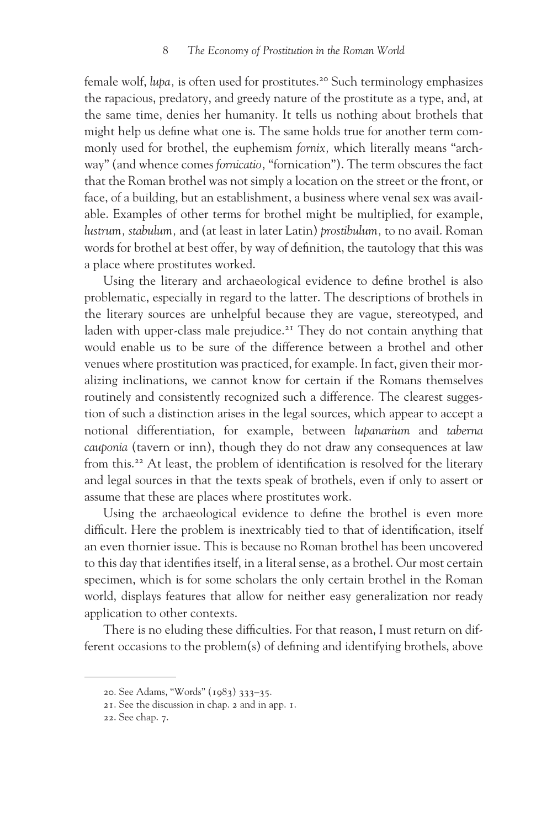female wolf, *lupa,* is often used for prostitutes.20 Such terminology emphasizes the rapacious, predatory, and greedy nature of the prostitute as a type, and, at the same time, denies her humanity. It tells us nothing about brothels that might help us define what one is. The same holds true for another term commonly used for brothel, the euphemism *fornix,* which literally means "archway" (and whence comes *fornicatio,* "fornication"). The term obscures the fact that the Roman brothel was not simply a location on the street or the front, or face, of a building, but an establishment, a business where venal sex was available. Examples of other terms for brothel might be multiplied, for example, *lustrum, stabulum,* and (at least in later Latin) *prostibulum,* to no avail. Roman words for brothel at best offer, by way of definition, the tautology that this was a place where prostitutes worked.

Using the literary and archaeological evidence to define brothel is also problematic, especially in regard to the latter. The descriptions of brothels in the literary sources are unhelpful because they are vague, stereotyped, and laden with upper-class male prejudice.<sup>21</sup> They do not contain anything that would enable us to be sure of the difference between a brothel and other venues where prostitution was practiced, for example. In fact, given their moralizing inclinations, we cannot know for certain if the Romans themselves routinely and consistently recognized such a difference. The clearest suggestion of such a distinction arises in the legal sources, which appear to accept a notional differentiation, for example, between *lupanarium* and *taberna cauponia* (tavern or inn), though they do not draw any consequences at law from this.<sup>22</sup> At least, the problem of identification is resolved for the literary and legal sources in that the texts speak of brothels, even if only to assert or assume that these are places where prostitutes work.

Using the archaeological evidence to define the brothel is even more difficult. Here the problem is inextricably tied to that of identification, itself an even thornier issue. This is because no Roman brothel has been uncovered to this day that identifies itself, in a literal sense, as a brothel. Our most certain specimen, which is for some scholars the only certain brothel in the Roman world, displays features that allow for neither easy generalization nor ready application to other contexts.

There is no eluding these difficulties. For that reason, I must return on different occasions to the problem(s) of defining and identifying brothels, above

<sup>20.</sup> See Adams, "Words" (1983) 333–35.

<sup>21.</sup> See the discussion in chap. 2 and in app. 1.

<sup>22.</sup> See chap. 7.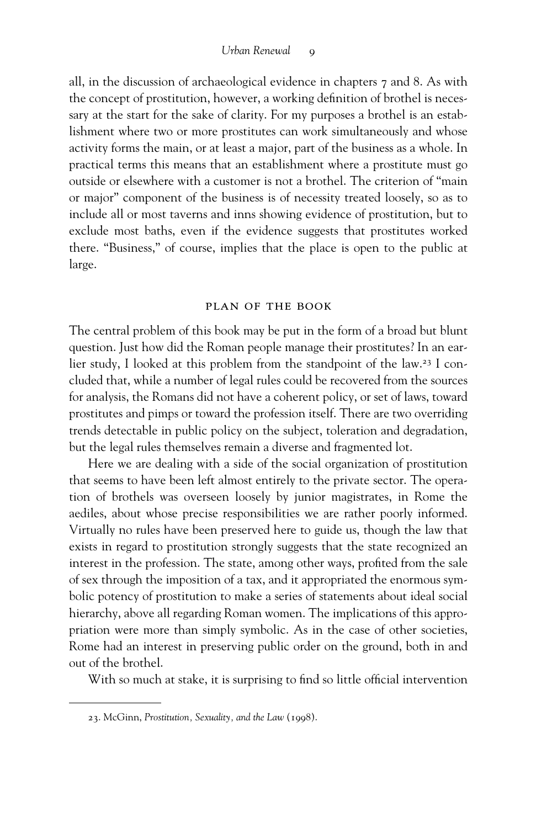all, in the discussion of archaeological evidence in chapters 7 and 8. As with the concept of prostitution, however, a working definition of brothel is necessary at the start for the sake of clarity. For my purposes a brothel is an establishment where two or more prostitutes can work simultaneously and whose activity forms the main, or at least a major, part of the business as a whole. In practical terms this means that an establishment where a prostitute must go outside or elsewhere with a customer is not a brothel. The criterion of "main or major" component of the business is of necessity treated loosely, so as to include all or most taverns and inns showing evidence of prostitution, but to exclude most baths, even if the evidence suggests that prostitutes worked there. "Business," of course, implies that the place is open to the public at large.

### plan of the book

The central problem of this book may be put in the form of a broad but blunt question. Just how did the Roman people manage their prostitutes? In an earlier study, I looked at this problem from the standpoint of the law.<sup>23</sup> I concluded that, while a number of legal rules could be recovered from the sources for analysis, the Romans did not have a coherent policy, or set of laws, toward prostitutes and pimps or toward the profession itself. There are two overriding trends detectable in public policy on the subject, toleration and degradation, but the legal rules themselves remain a diverse and fragmented lot.

Here we are dealing with a side of the social organization of prostitution that seems to have been left almost entirely to the private sector. The operation of brothels was overseen loosely by junior magistrates, in Rome the aediles, about whose precise responsibilities we are rather poorly informed. Virtually no rules have been preserved here to guide us, though the law that exists in regard to prostitution strongly suggests that the state recognized an interest in the profession. The state, among other ways, profited from the sale of sex through the imposition of a tax, and it appropriated the enormous symbolic potency of prostitution to make a series of statements about ideal social hierarchy, above all regarding Roman women. The implications of this appropriation were more than simply symbolic. As in the case of other societies, Rome had an interest in preserving public order on the ground, both in and out of the brothel.

With so much at stake, it is surprising to find so little official intervention

<sup>23.</sup> McGinn, *Prostitution, Sexuality, and the Law* (1998).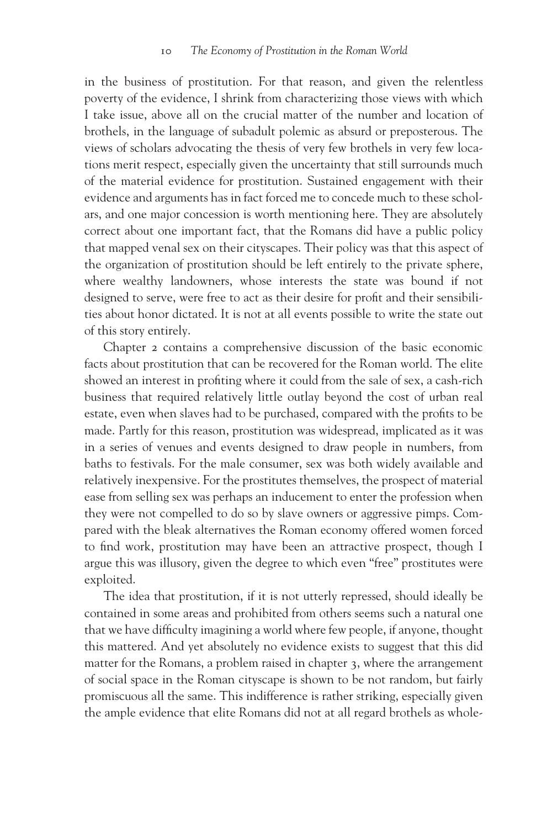in the business of prostitution. For that reason, and given the relentless poverty of the evidence, I shrink from characterizing those views with which I take issue, above all on the crucial matter of the number and location of brothels, in the language of subadult polemic as absurd or preposterous. The views of scholars advocating the thesis of very few brothels in very few locations merit respect, especially given the uncertainty that still surrounds much of the material evidence for prostitution. Sustained engagement with their evidence and arguments has in fact forced me to concede much to these scholars, and one major concession is worth mentioning here. They are absolutely correct about one important fact, that the Romans did have a public policy that mapped venal sex on their cityscapes. Their policy was that this aspect of the organization of prostitution should be left entirely to the private sphere, where wealthy landowners, whose interests the state was bound if not designed to serve, were free to act as their desire for profit and their sensibilities about honor dictated. It is not at all events possible to write the state out of this story entirely.

Chapter 2 contains a comprehensive discussion of the basic economic facts about prostitution that can be recovered for the Roman world. The elite showed an interest in profiting where it could from the sale of sex, a cash-rich business that required relatively little outlay beyond the cost of urban real estate, even when slaves had to be purchased, compared with the profits to be made. Partly for this reason, prostitution was widespread, implicated as it was in a series of venues and events designed to draw people in numbers, from baths to festivals. For the male consumer, sex was both widely available and relatively inexpensive. For the prostitutes themselves, the prospect of material ease from selling sex was perhaps an inducement to enter the profession when they were not compelled to do so by slave owners or aggressive pimps. Compared with the bleak alternatives the Roman economy offered women forced to find work, prostitution may have been an attractive prospect, though I argue this was illusory, given the degree to which even "free" prostitutes were exploited.

The idea that prostitution, if it is not utterly repressed, should ideally be contained in some areas and prohibited from others seems such a natural one that we have difficulty imagining a world where few people, if anyone, thought this mattered. And yet absolutely no evidence exists to suggest that this did matter for the Romans, a problem raised in chapter 3, where the arrangement of social space in the Roman cityscape is shown to be not random, but fairly promiscuous all the same. This indifference is rather striking, especially given the ample evidence that elite Romans did not at all regard brothels as whole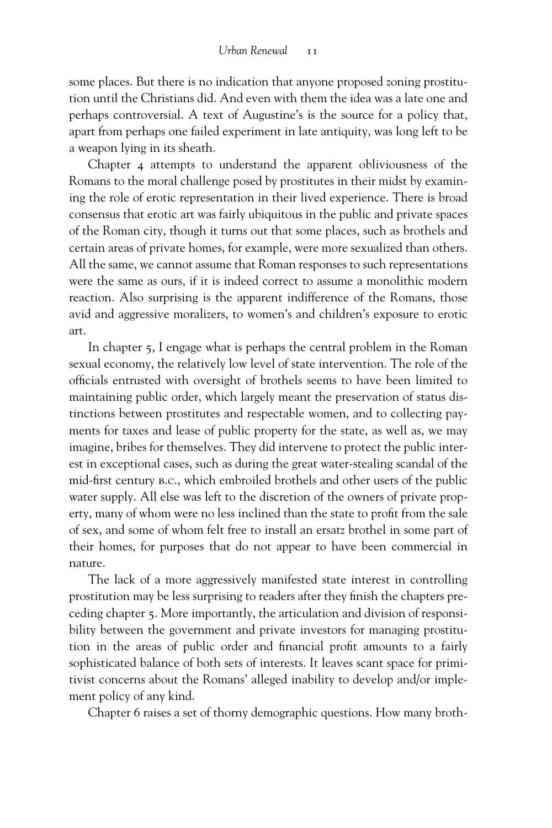some places. But there is no indication that anyone proposed zoning prostitution until the Christians did. And even with them the idea was a late one and perhaps controversial. A text of Augustine's is the source for a policy that, apart from perhaps one failed experiment in late antiquity, was long left to be a weapon lying in its sheath.

Chapter 4 attempts to understand the apparent obliviousness of the Romans to the moral challenge posed by prostitutes in their midst by examining the role of erotic representation in their lived experience. There is broad consensus that erotic art was fairly ubiquitous in the public and private spaces of the Roman city, though it turns out that some places, such as brothels and certain areas of private homes, for example, were more sexualized than others. All the same, we cannot assume that Roman responses to such representations were the same as ours, if it is indeed correct to assume a monolithic modern reaction. Also surprising is the apparent indifference of the Romans, those avid and aggressive moralizers, to women's and children's exposure to erotic art.

In chapter 5, I engage what is perhaps the central problem in the Roman sexual economy, the relatively low level of state intervention. The role of the officials entrusted with oversight of brothels seems to have been limited to maintaining public order, which largely meant the preservation of status distinctions between prostitutes and respectable women, and to collecting payments for taxes and lease of public property for the state, as well as, we may imagine, bribes for themselves. They did intervene to protect the public interest in exceptional cases, such as during the great water-stealing scandal of the mid-first century B.C., which embroiled brothels and other users of the public water supply. All else was left to the discretion of the owners of private property, many of whom were no less inclined than the state to profit from the sale of sex, and some of whom felt free to install an ersatz brothel in some part of their homes, for purposes that do not appear to have been commercial in nature.

The lack of a more aggressively manifested state interest in controlling prostitution may be less surprising to readers after they finish the chapters preceding chapter 5. More importantly, the articulation and division of responsibility between the government and private investors for managing prostitution in the areas of public order and financial profit amounts to a fairly sophisticated balance of both sets of interests. It leaves scant space for primitivist concerns about the Romans' alleged inability to develop and/or implement policy of any kind.

Chapter 6 raises a set of thorny demographic questions. How many broth-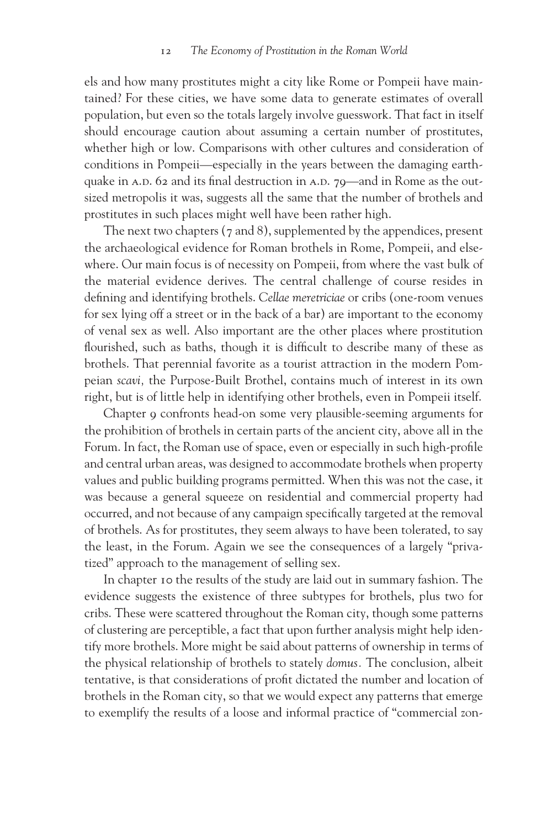els and how many prostitutes might a city like Rome or Pompeii have maintained? For these cities, we have some data to generate estimates of overall population, but even so the totals largely involve guesswork. That fact in itself should encourage caution about assuming a certain number of prostitutes, whether high or low. Comparisons with other cultures and consideration of conditions in Pompeii—especially in the years between the damaging earthquake in A.D. 62 and its final destruction in A.D. 79—and in Rome as the outsized metropolis it was, suggests all the same that the number of brothels and prostitutes in such places might well have been rather high.

The next two chapters (7 and 8), supplemented by the appendices, present the archaeological evidence for Roman brothels in Rome, Pompeii, and elsewhere. Our main focus is of necessity on Pompeii, from where the vast bulk of the material evidence derives. The central challenge of course resides in defining and identifying brothels. Cellae meretriciae or cribs (one-room venues for sex lying off a street or in the back of a bar) are important to the economy of venal sex as well. Also important are the other places where prostitution flourished, such as baths, though it is difficult to describe many of these as brothels. That perennial favorite as a tourist attraction in the modern Pompeian *scavi,* the Purpose-Built Brothel, contains much of interest in its own right, but is of little help in identifying other brothels, even in Pompeii itself.

Chapter 9 confronts head-on some very plausible-seeming arguments for the prohibition of brothels in certain parts of the ancient city, above all in the Forum. In fact, the Roman use of space, even or especially in such high-profile and central urban areas, was designed to accommodate brothels when property values and public building programs permitted. When this was not the case, it was because a general squeeze on residential and commercial property had occurred, and not because of any campaign specifically targeted at the removal of brothels. As for prostitutes, they seem always to have been tolerated, to say the least, in the Forum. Again we see the consequences of a largely "privatized" approach to the management of selling sex.

In chapter 10 the results of the study are laid out in summary fashion. The evidence suggests the existence of three subtypes for brothels, plus two for cribs. These were scattered throughout the Roman city, though some patterns of clustering are perceptible, a fact that upon further analysis might help identify more brothels. More might be said about patterns of ownership in terms of the physical relationship of brothels to stately *domus.* The conclusion, albeit tentative, is that considerations of profit dictated the number and location of brothels in the Roman city, so that we would expect any patterns that emerge to exemplify the results of a loose and informal practice of "commercial zon-